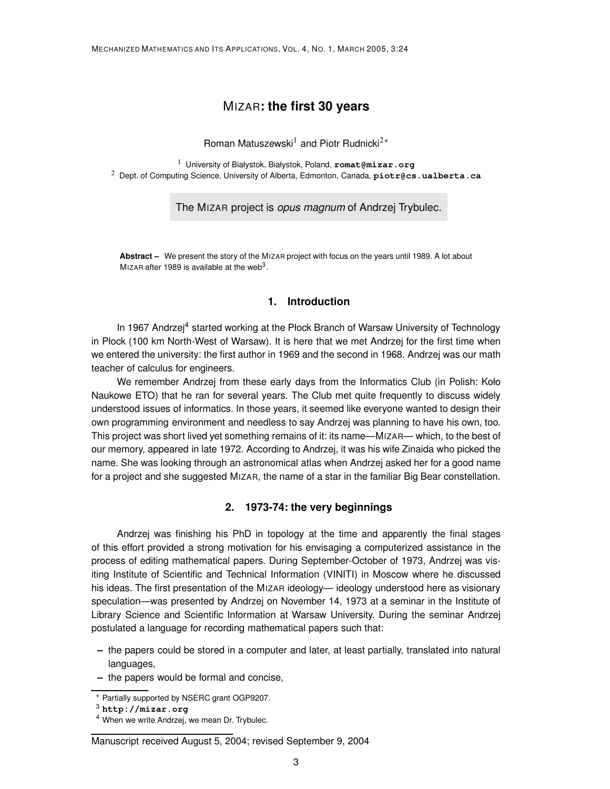# MIZAR**: the first 30 years**

Roman Matuszewski<sup>1</sup> and Piotr Rudnicki<sup>2\*</sup>

<sup>1</sup> University of Białystok, Białystok, Poland, **romat@mizar.org** <sup>2</sup> Dept. of Computing Science, University of Alberta, Edmonton, Canada, **piotr@cs.ualberta.ca**

The MIZAR project is opus magnum of Andrzej Trybulec.

**Abstract –** We present the story of the MIZAR project with focus on the years until 1989. A lot about MIZAR after 1989 is available at the web<sup>3</sup>.

# **1. Introduction**

In 1967 Andrzej<sup>4</sup> started working at the Płock Branch of Warsaw University of Technology in Płock (100 km North-West of Warsaw). It is here that we met Andrzej for the first time when we entered the university: the first author in 1969 and the second in 1968. Andrzej was our math teacher of calculus for engineers.

We remember Andrzej from these early days from the Informatics Club (in Polish: Koło Naukowe ETO) that he ran for several years. The Club met quite frequently to discuss widely understood issues of informatics. In those years, it seemed like everyone wanted to design their own programming environment and needless to say Andrzej was planning to have his own, too. This project was short lived yet something remains of it: its name—MIZAR— which, to the best of our memory, appeared in late 1972. According to Andrzej, it was his wife Zinaida who picked the name. She was looking through an astronomical atlas when Andrzej asked her for a good name for a project and she suggested MIZAR, the name of a star in the familiar Big Bear constellation.

# **2. 1973-74: the very beginnings**

Andrzej was finishing his PhD in topology at the time and apparently the final stages of this effort provided a strong motivation for his envisaging a computerized assistance in the process of editing mathematical papers. During September-October of 1973, Andrzej was visiting Institute of Scientific and Technical Information (VINITI) in Moscow where he discussed his ideas. The first presentation of the MIZAR ideology— ideology understood here as visionary speculation—was presented by Andrzej on November 14, 1973 at a seminar in the Institute of Library Science and Scientific Information at Warsaw University. During the seminar Andrzej postulated a language for recording mathematical papers such that:

- **–** the papers could be stored in a computer and later, at least partially, translated into natural languages,
- **–** the papers would be formal and concise,

<sup>?</sup> Partially supported by NSERC grant OGP9207.

<sup>3</sup> **http://mizar.org**

<sup>4</sup> When we write Andrzej, we mean Dr. Trybulec.

Manuscript received August 5, 2004; revised September 9, 2004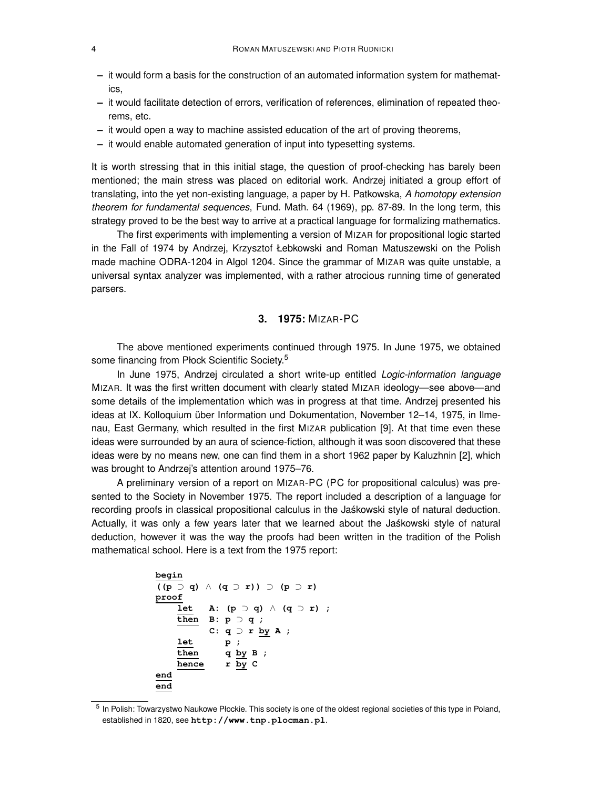- **–** it would form a basis for the construction of an automated information system for mathematics,
- **–** it would facilitate detection of errors, verification of references, elimination of repeated theorems, etc.
- **–** it would open a way to machine assisted education of the art of proving theorems,
- **–** it would enable automated generation of input into typesetting systems.

It is worth stressing that in this initial stage, the question of proof-checking has barely been mentioned; the main stress was placed on editorial work. Andrzej initiated a group effort of translating, into the yet non-existing language, a paper by H. Patkowska, A homotopy extension theorem for fundamental sequences, Fund. Math. 64 (1969), pp. 87-89. In the long term, this strategy proved to be the best way to arrive at a practical language for formalizing mathematics.

The first experiments with implementing a version of MIZAR for propositional logic started in the Fall of 1974 by Andrzej, Krzysztof Łebkowski and Roman Matuszewski on the Polish made machine ODRA-1204 in Algol 1204. Since the grammar of MIZAR was quite unstable, a universal syntax analyzer was implemented, with a rather atrocious running time of generated parsers.

## **3. 1975:** MIZAR-PC

The above mentioned experiments continued through 1975. In June 1975, we obtained some financing from Płock Scientific Society.<sup>5</sup>

In June 1975, Andrzej circulated a short write-up entitled Logic-information language MIZAR. It was the first written document with clearly stated MIZAR ideology—see above—and some details of the implementation which was in progress at that time. Andrzej presented his ideas at IX. Kolloquium über Information und Dokumentation, November 12–14, 1975, in Ilmenau, East Germany, which resulted in the first MIZAR publication [9]. At that time even these ideas were surrounded by an aura of science-fiction, although it was soon discovered that these ideas were by no means new, one can find them in a short 1962 paper by Kaluzhnin [2], which was brought to Andrzej's attention around 1975–76.

A preliminary version of a report on MIZAR-PC (PC for propositional calculus) was presented to the Society in November 1975. The report included a description of a language for recording proofs in classical propositional calculus in the Jaśkowski style of natural deduction. Actually, it was only a few years later that we learned about the Jaskowski style of natural deduction, however it was the way the proofs had been written in the tradition of the Polish mathematical school. Here is a text from the 1975 report:

```
begin
((p ⊃ q) ∧ (q ⊃ r)) ⊃ (p ⊃ r)
proof
   let A: (p ⊃ q) ∧ (q ⊃ r) ;
   then B: p ⊃ q ;
         C: q ⊃ r by A ;
   let p ;
   then q by B ;
   hence r by C
end
end
```
<sup>&</sup>lt;sup>5</sup> In Polish: Towarzystwo Naukowe Płockie. This society is one of the oldest regional societies of this type in Poland, established in 1820, see **http://www.tnp.plocman.pl**.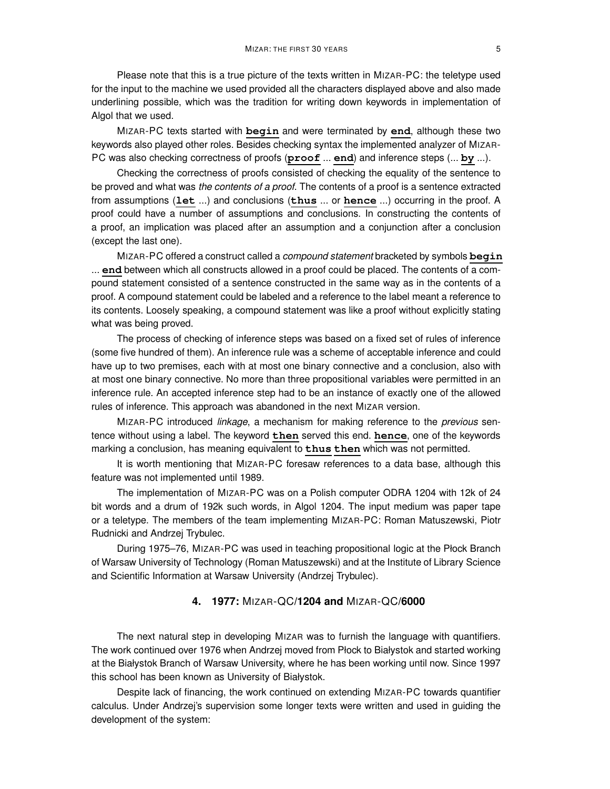Please note that this is a true picture of the texts written in MIZAR-PC: the teletype used for the input to the machine we used provided all the characters displayed above and also made underlining possible, which was the tradition for writing down keywords in implementation of Algol that we used.

MIZAR-PC texts started with **begin** and were terminated by **end**, although these two keywords also played other roles. Besides checking syntax the implemented analyzer of MIZAR-PC was also checking correctness of proofs (**proof** ... **end**) and inference steps (... **by** ...).

Checking the correctness of proofs consisted of checking the equality of the sentence to be proved and what was the contents of a proof. The contents of a proof is a sentence extracted from assumptions (**let** ...) and conclusions (**thus** ... or **hence** ...) occurring in the proof. A proof could have a number of assumptions and conclusions. In constructing the contents of a proof, an implication was placed after an assumption and a conjunction after a conclusion (except the last one).

MIZAR-PC offered a construct called a compound statement bracketed by symbols **begin** ... **end** between which all constructs allowed in a proof could be placed. The contents of a compound statement consisted of a sentence constructed in the same way as in the contents of a proof. A compound statement could be labeled and a reference to the label meant a reference to its contents. Loosely speaking, a compound statement was like a proof without explicitly stating what was being proved.

The process of checking of inference steps was based on a fixed set of rules of inference (some five hundred of them). An inference rule was a scheme of acceptable inference and could have up to two premises, each with at most one binary connective and a conclusion, also with at most one binary connective. No more than three propositional variables were permitted in an inference rule. An accepted inference step had to be an instance of exactly one of the allowed rules of inference. This approach was abandoned in the next MIZAR version.

MIZAR-PC introduced linkage, a mechanism for making reference to the previous sentence without using a label. The keyword **then** served this end. **hence**, one of the keywords marking a conclusion, has meaning equivalent to **thus then** which was not permitted.

It is worth mentioning that MIZAR-PC foresaw references to a data base, although this feature was not implemented until 1989.

The implementation of MIZAR-PC was on a Polish computer ODRA 1204 with 12k of 24 bit words and a drum of 192k such words, in Algol 1204. The input medium was paper tape or a teletype. The members of the team implementing MIZAR-PC: Roman Matuszewski, Piotr Rudnicki and Andrzej Trybulec.

During 1975–76, MIZAR-PC was used in teaching propositional logic at the Płock Branch of Warsaw University of Technology (Roman Matuszewski) and at the Institute of Library Science and Scientific Information at Warsaw University (Andrzej Trybulec).

### **4. 1977:** MIZAR-QC**/1204 and** MIZAR-QC**/6000**

The next natural step in developing MIZAR was to furnish the language with quantifiers. The work continued over 1976 when Andrzej moved from Płock to Białystok and started working at the Białystok Branch of Warsaw University, where he has been working until now. Since 1997 this school has been known as University of Białystok.

Despite lack of financing, the work continued on extending MIZAR-PC towards quantifier calculus. Under Andrzej's supervision some longer texts were written and used in guiding the development of the system: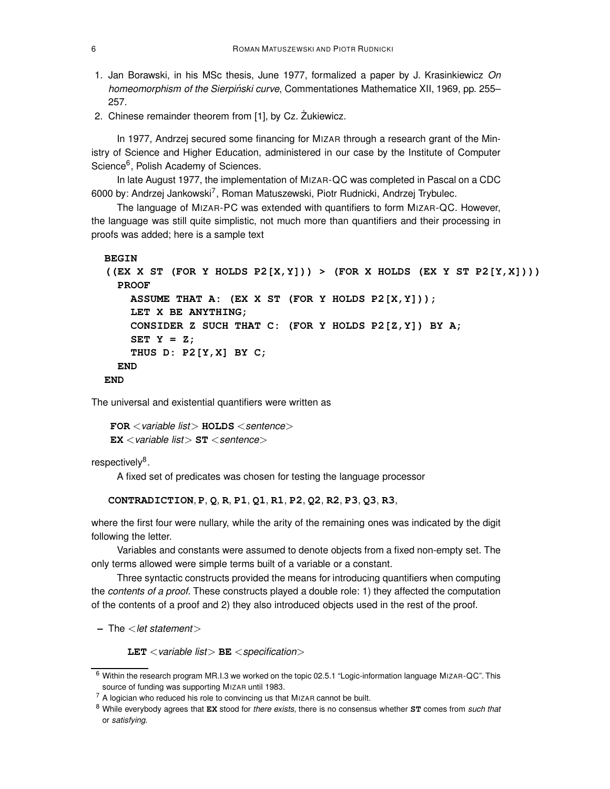- 1. Jan Borawski, in his MSc thesis, June 1977, formalized a paper by J. Krasinkiewicz On homeomorphism of the Sierpiński curve, Commentationes Mathematice XII, 1969, pp. 255– 257.
- 2. Chinese remainder theorem from [1], by Cz. Zukiewicz.

In 1977, Andrzej secured some financing for MIZAR through a research grant of the Ministry of Science and Higher Education, administered in our case by the Institute of Computer Science<sup>6</sup>, Polish Academy of Sciences.

In late August 1977, the implementation of MIZAR-QC was completed in Pascal on a CDC 6000 by: Andrzej Jankowski<sup>7</sup>, Roman Matuszewski, Piotr Rudnicki, Andrzej Trybulec.

The language of MIZAR-PC was extended with quantifiers to form MIZAR-QC. However, the language was still quite simplistic, not much more than quantifiers and their processing in proofs was added; here is a sample text

```
BEGIN
((EX X ST (FOR Y HOLDS P2[X,Y])) > (FOR X HOLDS (EX Y ST P2[Y,X])))
  PROOF
    ASSUME THAT A: (EX X ST (FOR Y HOLDS P2[X,Y]));
    LET X BE ANYTHING;
    CONSIDER Z SUCH THAT C: (FOR Y HOLDS P2[Z,Y]) BY A;
    SET Y = Z;
    THUS D: P2[Y,X] BY C;
 END
END
```
The universal and existential quantifiers were written as

```
FOR < variable list > HOLDS < sentence >
EX < variable list > ST < sentence >
```

```
respectively<sup>8</sup>.
```
A fixed set of predicates was chosen for testing the language processor

**CONTRADICTION**, **P**, **Q**, **R**, **P1**, **Q1**, **R1**, **P2**, **Q2**, **R2**, **P3**, **Q3**, **R3**,

where the first four were nullary, while the arity of the remaining ones was indicated by the digit following the letter.

Variables and constants were assumed to denote objects from a fixed non-empty set. The only terms allowed were simple terms built of a variable or a constant.

Three syntactic constructs provided the means for introducing quantifiers when computing the *contents of a proof*. These constructs played a double role: 1) they affected the computation of the contents of a proof and 2) they also introduced objects used in the rest of the proof.

**–** The <let statement>

**LET** <variable list> **BE** <specification>

<sup>6</sup> Within the research program MR.I.3 we worked on the topic 02.5.1 "Logic-information language MIZAR-QC". This source of funding was supporting MIZAR until 1983.

<sup>7</sup> A logician who reduced his role to convincing us that MIZAR cannot be built.

<sup>8</sup> While everybody agrees that **EX** stood for there exists, there is no consensus whether **ST** comes from such that or satisfying.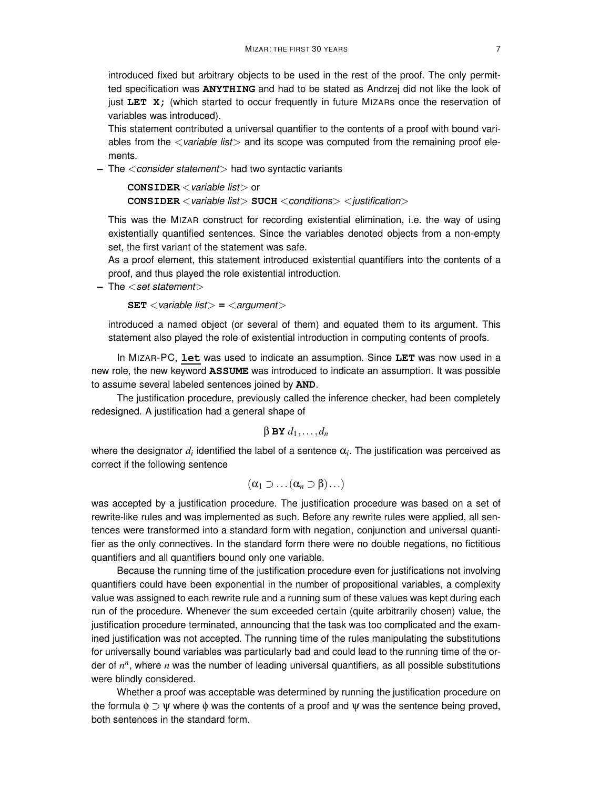introduced fixed but arbitrary objects to be used in the rest of the proof. The only permitted specification was **ANYTHING** and had to be stated as Andrzej did not like the look of just **LET X;** (which started to occur frequently in future MIZARs once the reservation of variables was introduced).

This statement contributed a universal quantifier to the contents of a proof with bound variables from the  $\langle$  variable list $\rangle$  and its scope was computed from the remaining proof elements.

**–** The <consider statement> had two syntactic variants

**CONSIDER** <variable list> or **CONSIDER** < variable list> **SUCH** < conditions> < justification>

This was the MIZAR construct for recording existential elimination, i.e. the way of using existentially quantified sentences. Since the variables denoted objects from a non-empty set, the first variant of the statement was safe.

As a proof element, this statement introduced existential quantifiers into the contents of a proof, and thus played the role existential introduction.

**-** The  $\le$  set statement  $>$ 

**SET**  $\langle$  variable list $\rangle$  =  $\langle$  argument $\rangle$ 

introduced a named object (or several of them) and equated them to its argument. This statement also played the role of existential introduction in computing contents of proofs.

In MIZAR-PC, **let** was used to indicate an assumption. Since **LET** was now used in a new role, the new keyword **ASSUME** was introduced to indicate an assumption. It was possible to assume several labeled sentences joined by **AND**.

The justification procedure, previously called the inference checker, had been completely redesigned. A justification had a general shape of

 $β$  **BY**  $d_1$ , ...,  $d_n$ 

where the designator  $d_i$  identified the label of a sentence  $\alpha_i$ . The justification was perceived as correct if the following sentence

 $(\alpha_1 \supset \ldots (\alpha_n \supset \beta) \ldots)$ 

was accepted by a justification procedure. The justification procedure was based on a set of rewrite-like rules and was implemented as such. Before any rewrite rules were applied, all sentences were transformed into a standard form with negation, conjunction and universal quantifier as the only connectives. In the standard form there were no double negations, no fictitious quantifiers and all quantifiers bound only one variable.

Because the running time of the justification procedure even for justifications not involving quantifiers could have been exponential in the number of propositional variables, a complexity value was assigned to each rewrite rule and a running sum of these values was kept during each run of the procedure. Whenever the sum exceeded certain (quite arbitrarily chosen) value, the justification procedure terminated, announcing that the task was too complicated and the examined justification was not accepted. The running time of the rules manipulating the substitutions for universally bound variables was particularly bad and could lead to the running time of the order of *n n* , where *n* was the number of leading universal quantifiers, as all possible substitutions were blindly considered.

Whether a proof was acceptable was determined by running the justification procedure on the formula  $\phi \supset \psi$  where  $\phi$  was the contents of a proof and  $\psi$  was the sentence being proved, both sentences in the standard form.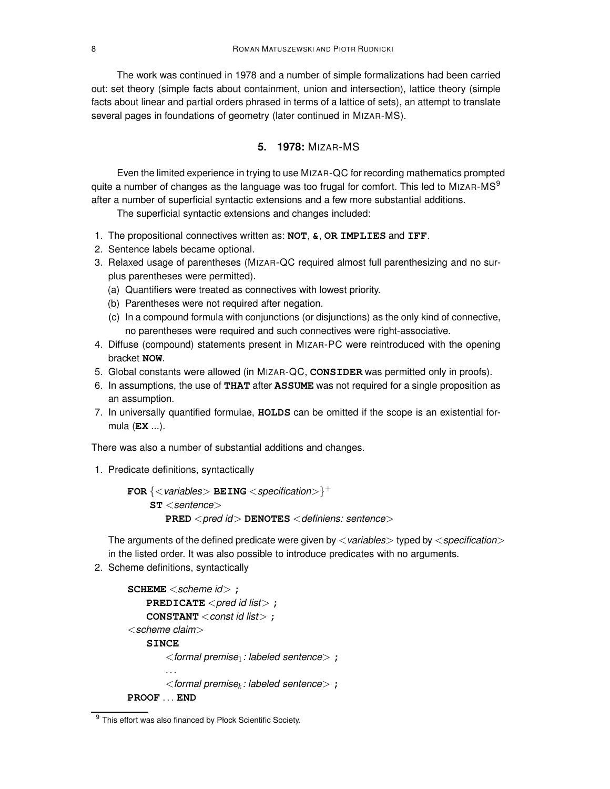The work was continued in 1978 and a number of simple formalizations had been carried out: set theory (simple facts about containment, union and intersection), lattice theory (simple facts about linear and partial orders phrased in terms of a lattice of sets), an attempt to translate several pages in foundations of geometry (later continued in MIZAR-MS).

### **5. 1978:** MIZAR-MS

Even the limited experience in trying to use MIZAR-QC for recording mathematics prompted quite a number of changes as the language was too frugal for comfort. This led to MIZAR-MS $^9$ after a number of superficial syntactic extensions and a few more substantial additions.

The superficial syntactic extensions and changes included:

- 1. The propositional connectives written as: **NOT**, **&**, **OR IMPLIES** and **IFF**.
- 2. Sentence labels became optional.
- 3. Relaxed usage of parentheses (MIZAR-QC required almost full parenthesizing and no surplus parentheses were permitted).
	- (a) Quantifiers were treated as connectives with lowest priority.
	- (b) Parentheses were not required after negation.
	- (c) In a compound formula with conjunctions (or disjunctions) as the only kind of connective, no parentheses were required and such connectives were right-associative.
- 4. Diffuse (compound) statements present in MIZAR-PC were reintroduced with the opening bracket **NOW**.
- 5. Global constants were allowed (in MIZAR-QC, **CONSIDER** was permitted only in proofs).
- 6. In assumptions, the use of **THAT** after **ASSUME** was not required for a single proposition as an assumption.
- 7. In universally quantified formulae, **HOLDS** can be omitted if the scope is an existential formula (**EX** ...).

There was also a number of substantial additions and changes.

1. Predicate definitions, syntactically

 ${\tt FOR} \left\{ \texttt{<} \textsf{variables} \texttt{>} \texttt{BEING} \texttt{<} \textsf{specification} \texttt{>} \right\}^+$ **ST** <sentence> **PRED** <pred id> **DENOTES** <definiens: sentence>

The arguments of the defined predicate were given by  $\langle$  variables $>$  typed by  $\langle$  specification $>$ in the listed order. It was also possible to introduce predicates with no arguments.

2. Scheme definitions, syntactically

```
SCHEME <scheme id> ;
    PREDICATE < pred id list> ;
    CONSTANT <const id list> ;
<scheme claim>SINCE
        <formal premise1: labeled sentence> ;
        ...
        <formal premisek : labeled sentence> ;
PROOF ... END
```
<sup>9</sup> This effort was also financed by Płock Scientific Society.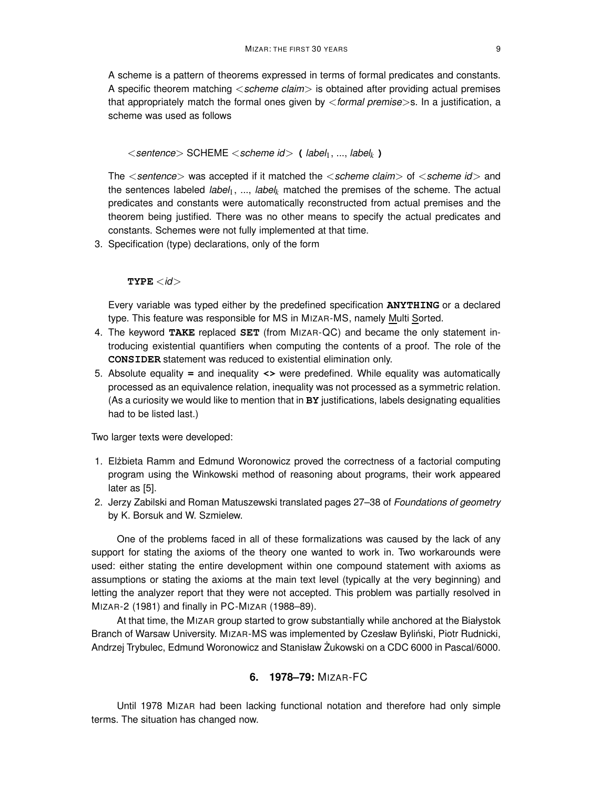A scheme is a pattern of theorems expressed in terms of formal predicates and constants. A specific theorem matching  $\langle$  scheme claim $\rangle$  is obtained after providing actual premises that appropriately match the formal ones given by  $\leq$  formal premise  $>$ s. In a justification, a scheme was used as follows

<sentence> SCHEME <scheme id> **(** label1, ..., label*k* **)**

The  $\le$  sentence  $>$  was accepted if it matched the  $\le$  scheme claim $>$  of  $\le$  scheme id $>$  and the sentences labeled *label<sub>1</sub>*, ..., *label<sub>k</sub>* matched the premises of the scheme. The actual predicates and constants were automatically reconstructed from actual premises and the theorem being justified. There was no other means to specify the actual predicates and constants. Schemes were not fully implemented at that time.

3. Specification (type) declarations, only of the form

 $\texttt{TYPE} < \textit{id}$ 

Every variable was typed either by the predefined specification **ANYTHING** or a declared type. This feature was responsible for MS in MIZAR-MS, namely Multi Sorted.

- 4. The keyword **TAKE** replaced **SET** (from MIZAR-QC) and became the only statement introducing existential quantifiers when computing the contents of a proof. The role of the **CONSIDER** statement was reduced to existential elimination only.
- 5. Absolute equality **=** and inequality **<>** were predefined. While equality was automatically processed as an equivalence relation, inequality was not processed as a symmetric relation. (As a curiosity we would like to mention that in **BY** justifications, labels designating equalities had to be listed last.)

Two larger texts were developed:

- 1. Elżbieta Ramm and Edmund Woronowicz proved the correctness of a factorial computing program using the Winkowski method of reasoning about programs, their work appeared later as [5].
- 2. Jerzy Zabilski and Roman Matuszewski translated pages 27–38 of Foundations of geometry by K. Borsuk and W. Szmielew.

One of the problems faced in all of these formalizations was caused by the lack of any support for stating the axioms of the theory one wanted to work in. Two workarounds were used: either stating the entire development within one compound statement with axioms as assumptions or stating the axioms at the main text level (typically at the very beginning) and letting the analyzer report that they were not accepted. This problem was partially resolved in MIZAR-2 (1981) and finally in PC-MIZAR (1988–89).

At that time, the MIZAR group started to grow substantially while anchored at the Białystok Branch of Warsaw University. MIZAR-MS was implemented by Czesław Byliński, Piotr Rudnicki, Andrzej Trybulec, Edmund Woronowicz and Stanisław Żukowski on a CDC 6000 in Pascal/6000.

# **6. 1978–79:** MIZAR-FC

Until 1978 MIZAR had been lacking functional notation and therefore had only simple terms. The situation has changed now.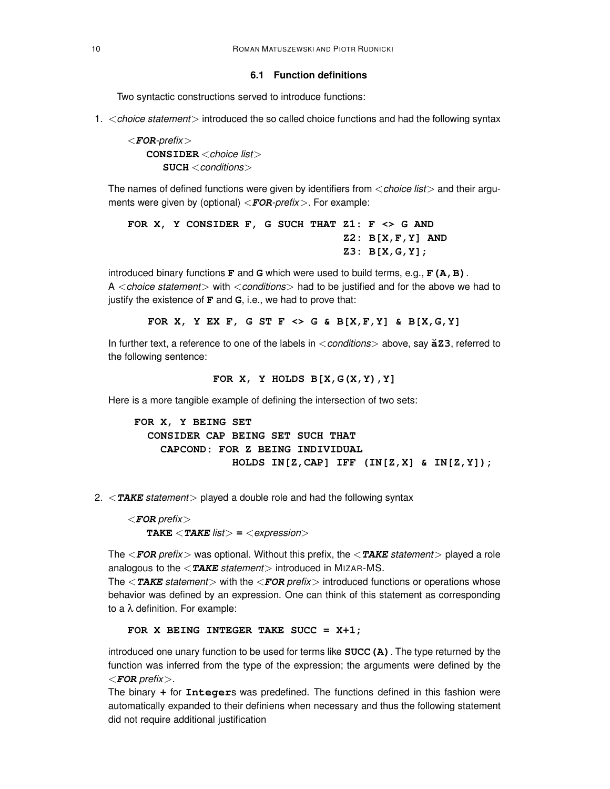### **6.1 Function definitions**

Two syntactic constructions served to introduce functions:

1. <choice statement> introduced the so called choice functions and had the following syntax

<**FOR**-prefix> **CONSIDER** < choice list> **SUCH** <conditions>

The names of defined functions were given by identifiers from  $\langle$  choice list  $\rangle$  and their arguments were given by (optional) <**FOR**-prefix>. For example:

```
FOR X, Y CONSIDER F, G SUCH THAT Z1: F <> G AND
                                  Z2: B[X,F,Y] AND
                                  Z3: B[X,G,Y];
```
introduced binary functions **F** and **G** which were used to build terms, e.g., **F(A,B)**. A <choice statement> with <conditions> had to be justified and for the above we had to justify the existence of **F** and **G**, i.e., we had to prove that:

**FOR X, Y EX F, G ST F <> G & B[X,F,Y] & B[X,G,Y]**

In further text, a reference to one of the labels in <conditions> above, say  $\check{a}z3$ , referred to the following sentence:

**FOR X, Y HOLDS B[X,G(X,Y),Y]**

Here is a more tangible example of defining the intersection of two sets:

**FOR X, Y BEING SET CONSIDER CAP BEING SET SUCH THAT CAPCOND: FOR Z BEING INDIVIDUAL HOLDS IN[Z,CAP] IFF (IN[Z,X] & IN[Z,Y]);**

2. <**TAKE** statement> played a double role and had the following syntax

<**FOR** prefix> **TAKE**  $\langle$  **TAKE** list $\rangle$  =  $\langle$  expression $\rangle$ 

The <**FOR** prefix> was optional. Without this prefix, the <**TAKE** statement> played a role analogous to the  $\langle \textbf{TABLE}$  statement introduced in MIZAR-MS.

The <**TAKE** statement> with the <**FOR** prefix> introduced functions or operations whose behavior was defined by an expression. One can think of this statement as corresponding to a λ definition. For example:

### **FOR X BEING INTEGER TAKE SUCC = X+1;**

introduced one unary function to be used for terms like **SUCC(A)**. The type returned by the function was inferred from the type of the expression; the arguments were defined by the <**FOR** prefix>.

The binary **+** for **Integer**s was predefined. The functions defined in this fashion were automatically expanded to their definiens when necessary and thus the following statement did not require additional justification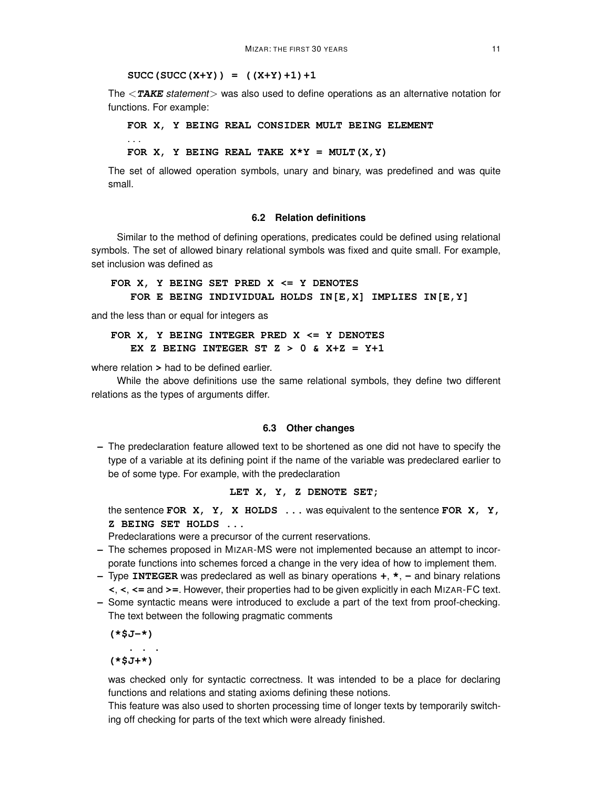### $SUCC(SUCC(X+Y)) = ((X+Y)+1)+1$

The <**TAKE** statement> was also used to define operations as an alternative notation for functions. For example:

**FOR X, Y BEING REAL CONSIDER MULT BEING ELEMENT** . . . FOR  $X$ ,  $Y$  **BEING REAL** TAKE  $X^*Y$  = MULT $(X, Y)$ 

The set of allowed operation symbols, unary and binary, was predefined and was quite small.

### **6.2 Relation definitions**

Similar to the method of defining operations, predicates could be defined using relational symbols. The set of allowed binary relational symbols was fixed and quite small. For example, set inclusion was defined as

### **FOR X, Y BEING SET PRED X <= Y DENOTES FOR E BEING INDIVIDUAL HOLDS IN[E,X] IMPLIES IN[E,Y]**

and the less than or equal for integers as

# **FOR X, Y BEING INTEGER PRED X <= Y DENOTES EX Z BEING INTEGER ST Z > 0 & X+Z = Y+1**

where relation **>** had to be defined earlier.

While the above definitions use the same relational symbols, they define two different relations as the types of arguments differ.

### **6.3 Other changes**

**–** The predeclaration feature allowed text to be shortened as one did not have to specify the type of a variable at its defining point if the name of the variable was predeclared earlier to be of some type. For example, with the predeclaration

### **LET X, Y, Z DENOTE SET;**

the sentence **FOR X, Y, X HOLDS ...** was equivalent to the sentence **FOR X, Y, Z BEING SET HOLDS ...**

Predeclarations were a precursor of the current reservations.

- **–** The schemes proposed in MIZAR-MS were not implemented because an attempt to incorporate functions into schemes forced a change in the very idea of how to implement them.
- **–** Type **INTEGER** was predeclared as well as binary operations **+**, **\***, **-** and binary relations **<**, **<**, **<=** and **>=**. However, their properties had to be given explicitly in each MIZAR-FC text.
- **–** Some syntactic means were introduced to exclude a part of the text from proof-checking. The text between the following pragmatic comments

**(\*\$J-\*) . . . (\*\$J+\*)**

was checked only for syntactic correctness. It was intended to be a place for declaring functions and relations and stating axioms defining these notions.

This feature was also used to shorten processing time of longer texts by temporarily switching off checking for parts of the text which were already finished.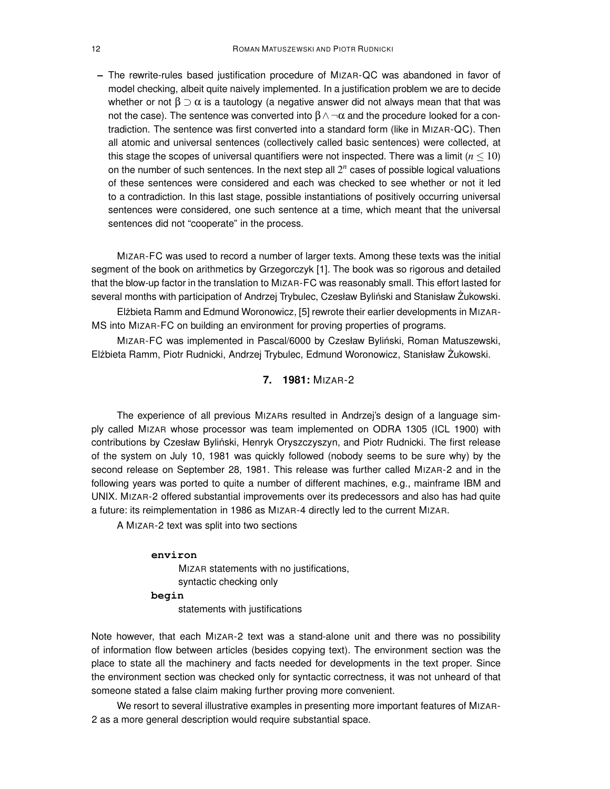**–** The rewrite-rules based justification procedure of MIZAR-QC was abandoned in favor of model checking, albeit quite naively implemented. In a justification problem we are to decide whether or not  $\beta \supset \alpha$  is a tautology (a negative answer did not always mean that that was not the case). The sentence was converted into  $\beta \wedge \neg \alpha$  and the procedure looked for a contradiction. The sentence was first converted into a standard form (like in MIZAR-QC). Then all atomic and universal sentences (collectively called basic sentences) were collected, at this stage the scopes of universal quantifiers were not inspected. There was a limit  $(n \leq 10)$ on the number of such sentences. In the next step all 2 *n* cases of possible logical valuations of these sentences were considered and each was checked to see whether or not it led to a contradiction. In this last stage, possible instantiations of positively occurring universal sentences were considered, one such sentence at a time, which meant that the universal sentences did not "cooperate" in the process.

MIZAR-FC was used to record a number of larger texts. Among these texts was the initial segment of the book on arithmetics by Grzegorczyk [1]. The book was so rigorous and detailed that the blow-up factor in the translation to MIZAR-FC was reasonably small. This effort lasted for several months with participation of Andrzej Trybulec, Czesław Byliński and Stanisław Żukowski.

Elżbieta Ramm and Edmund Woronowicz, [5] rewrote their earlier developments in MIZAR-MS into MIZAR-FC on building an environment for proving properties of programs.

MIZAR-FC was implemented in Pascal/6000 by Czesław Byliński, Roman Matuszewski, Elżbieta Ramm, Piotr Rudnicki, Andrzej Trybulec, Edmund Woronowicz, Stanisław Żukowski.

# **7. 1981:** MIZAR-2

The experience of all previous MIZARs resulted in Andrzej's design of a language simply called MIZAR whose processor was team implemented on ODRA 1305 (ICL 1900) with contributions by Czesław Byliński, Henryk Oryszczyszyn, and Piotr Rudnicki. The first release of the system on July 10, 1981 was quickly followed (nobody seems to be sure why) by the second release on September 28, 1981. This release was further called MIZAR-2 and in the following years was ported to quite a number of different machines, e.g., mainframe IBM and UNIX. MIZAR-2 offered substantial improvements over its predecessors and also has had quite a future: its reimplementation in 1986 as MIZAR-4 directly led to the current MIZAR.

A MIZAR-2 text was split into two sections

### **environ**

MIZAR statements with no justifications, syntactic checking only **begin**

statements with justifications

Note however, that each MIZAR-2 text was a stand-alone unit and there was no possibility of information flow between articles (besides copying text). The environment section was the place to state all the machinery and facts needed for developments in the text proper. Since the environment section was checked only for syntactic correctness, it was not unheard of that someone stated a false claim making further proving more convenient.

We resort to several illustrative examples in presenting more important features of MIZAR-2 as a more general description would require substantial space.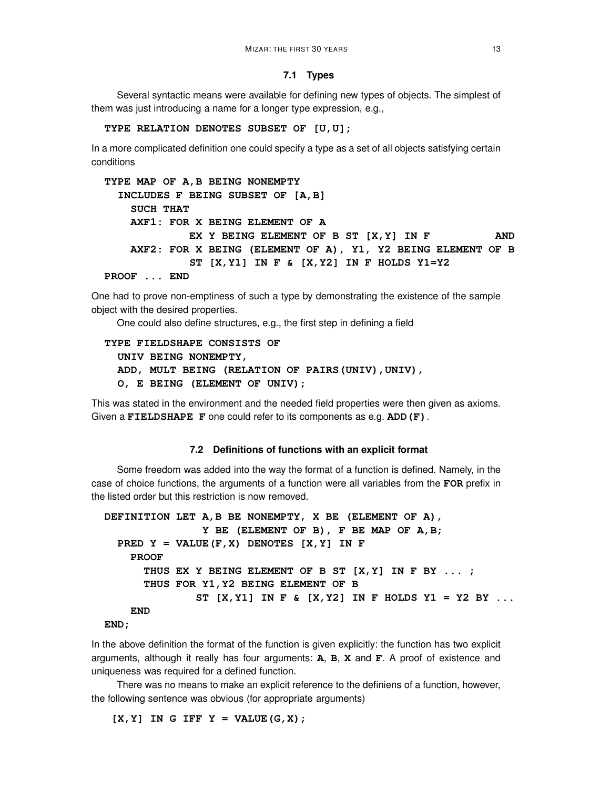### **7.1 Types**

Several syntactic means were available for defining new types of objects. The simplest of them was just introducing a name for a longer type expression, e.g.,

#### **TYPE RELATION DENOTES SUBSET OF [U,U];**

In a more complicated definition one could specify a type as a set of all objects satisfying certain conditions

```
TYPE MAP OF A,B BEING NONEMPTY
  INCLUDES F BEING SUBSET OF [A,B]
   SUCH THAT
   AXF1: FOR X BEING ELEMENT OF A
            EX Y BEING ELEMENT OF B ST [X,Y] IN F AND
   AXF2: FOR X BEING (ELEMENT OF A), Y1, Y2 BEING ELEMENT OF B
            ST [X,Y1] IN F & [X,Y2] IN F HOLDS Y1=Y2
PROOF ... END
```
One had to prove non-emptiness of such a type by demonstrating the existence of the sample object with the desired properties.

One could also define structures, e.g., the first step in defining a field

```
TYPE FIELDSHAPE CONSISTS OF
  UNIV BEING NONEMPTY,
  ADD, MULT BEING (RELATION OF PAIRS(UNIV),UNIV),
  O, E BEING (ELEMENT OF UNIV);
```
This was stated in the environment and the needed field properties were then given as axioms. Given a **FIELDSHAPE F** one could refer to its components as e.g. **ADD(F)**.

#### **7.2 Definitions of functions with an explicit format**

Some freedom was added into the way the format of a function is defined. Namely, in the case of choice functions, the arguments of a function were all variables from the **FOR** prefix in the listed order but this restriction is now removed.

```
DEFINITION LET A,B BE NONEMPTY, X BE (ELEMENT OF A),
               Y BE (ELEMENT OF B), F BE MAP OF A,B;
 PRED Y = VALUE(F, X) DENOTES [X, Y] IN F
    PROOF
      THUS EX Y BEING ELEMENT OF B ST [X,Y] IN F BY ... ;
      THUS FOR Y1,Y2 BEING ELEMENT OF B
              ST [X,Y1] IN F & [X,Y2] IN F HOLDS Y1 = Y2 BY ...
    END
```

```
END;
```
In the above definition the format of the function is given explicitly: the function has two explicit arguments, although it really has four arguments: **A**, **B**, **X** and **F**. A proof of existence and uniqueness was required for a defined function.

There was no means to make an explicit reference to the definiens of a function, however, the following sentence was obvious (for appropriate arguments)

 $[X, Y]$  **IN** G **IFF**  $Y = \text{VALUE}(G, X)$ ;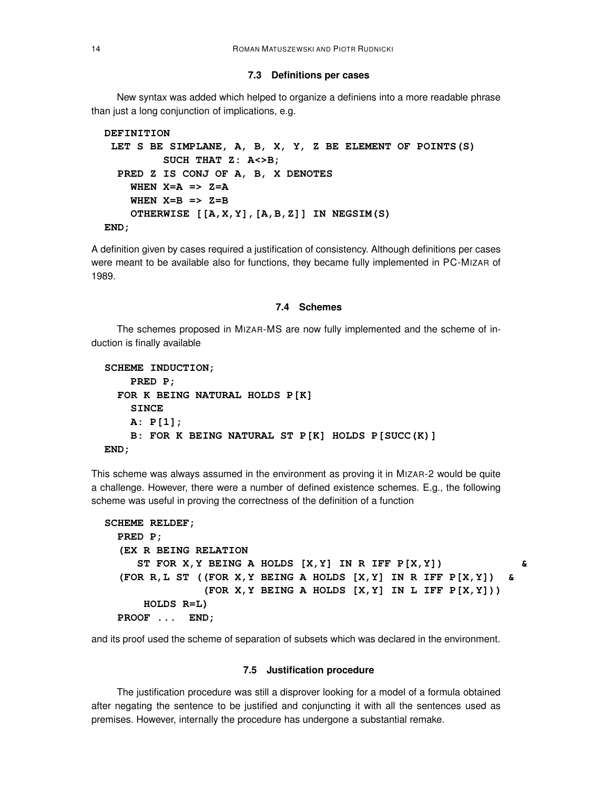#### **7.3 Definitions per cases**

New syntax was added which helped to organize a definiens into a more readable phrase than just a long conjunction of implications, e.g.

```
DEFINITION
LET S BE SIMPLANE, A, B, X, Y, Z BE ELEMENT OF POINTS(S)
         SUCH THAT Z: A<>B;
 PRED Z IS CONJ OF A, B, X DENOTES
   WHEN X=A => Z=A
   WHEN X=B => Z=B
   OTHERWISE [[A,X,Y],[A,B,Z]] IN NEGSIM(S)
END;
```
A definition given by cases required a justification of consistency. Although definitions per cases were meant to be available also for functions, they became fully implemented in PC-MIZAR of 1989.

#### **7.4 Schemes**

The schemes proposed in MIZAR-MS are now fully implemented and the scheme of induction is finally available

```
SCHEME INDUCTION;
   PRED P;
 FOR K BEING NATURAL HOLDS P[K]
    SINCE
    A: P[1];
    B: FOR K BEING NATURAL ST P[K] HOLDS P[SUCC(K)]
END;
```
This scheme was always assumed in the environment as proving it in MIZAR-2 would be quite a challenge. However, there were a number of defined existence schemes. E.g., the following scheme was useful in proving the correctness of the definition of a function

```
SCHEME RELDEF;
 PRED P;
  (EX R BEING RELATION
    ST FOR X,Y BEING A HOLDS [X,Y] IN R IFF P[X,Y]) &
  (FOR R,L ST ((FOR X,Y BEING A HOLDS [X,Y] IN R IFF P[X,Y]) &
              (FOR X,Y BEING A HOLDS [X,Y] IN L IFF P[X,Y]))
     HOLDS R=L)
 PROOF ... END;
```
and its proof used the scheme of separation of subsets which was declared in the environment.

#### **7.5 Justification procedure**

The justification procedure was still a disprover looking for a model of a formula obtained after negating the sentence to be justified and conjuncting it with all the sentences used as premises. However, internally the procedure has undergone a substantial remake.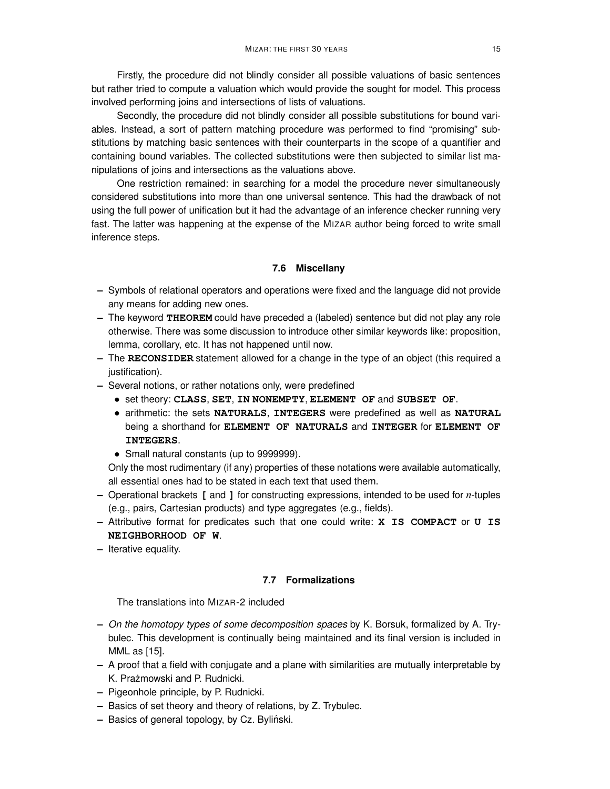Firstly, the procedure did not blindly consider all possible valuations of basic sentences but rather tried to compute a valuation which would provide the sought for model. This process involved performing joins and intersections of lists of valuations.

Secondly, the procedure did not blindly consider all possible substitutions for bound variables. Instead, a sort of pattern matching procedure was performed to find "promising" substitutions by matching basic sentences with their counterparts in the scope of a quantifier and containing bound variables. The collected substitutions were then subjected to similar list manipulations of joins and intersections as the valuations above.

One restriction remained: in searching for a model the procedure never simultaneously considered substitutions into more than one universal sentence. This had the drawback of not using the full power of unification but it had the advantage of an inference checker running very fast. The latter was happening at the expense of the MIZAR author being forced to write small inference steps.

# **7.6 Miscellany**

- **–** Symbols of relational operators and operations were fixed and the language did not provide any means for adding new ones.
- **–** The keyword **THEOREM** could have preceded a (labeled) sentence but did not play any role otherwise. There was some discussion to introduce other similar keywords like: proposition, lemma, corollary, etc. It has not happened until now.
- **–** The **RECONSIDER** statement allowed for a change in the type of an object (this required a justification).
- **–** Several notions, or rather notations only, were predefined
	- set theory: **CLASS**, **SET**, **IN NONEMPTY**, **ELEMENT OF** and **SUBSET OF**.
	- arithmetic: the sets **NATURALS**, **INTEGERS** were predefined as well as **NATURAL** being a shorthand for **ELEMENT OF NATURALS** and **INTEGER** for **ELEMENT OF INTEGERS**.
	- Small natural constants (up to 9999999).

Only the most rudimentary (if any) properties of these notations were available automatically, all essential ones had to be stated in each text that used them.

- **–** Operational brackets **[** and **]** for constructing expressions, intended to be used for *n*-tuples (e.g., pairs, Cartesian products) and type aggregates (e.g., fields).
- **–** Attributive format for predicates such that one could write: **X IS COMPACT** or **U IS NEIGHBORHOOD OF W**.
- **–** Iterative equality.

# **7.7 Formalizations**

The translations into MIZAR-2 included

- **–** On the homotopy types of some decomposition spaces by K. Borsuk, formalized by A. Trybulec. This development is continually being maintained and its final version is included in MML as [15].
- **–** A proof that a field with conjugate and a plane with similarities are mutually interpretable by K. Prażmowski and P. Rudnicki.
- **–** Pigeonhole principle, by P. Rudnicki.
- **–** Basics of set theory and theory of relations, by Z. Trybulec.
- **–** Basics of general topology, by Cz. Bylinski. ´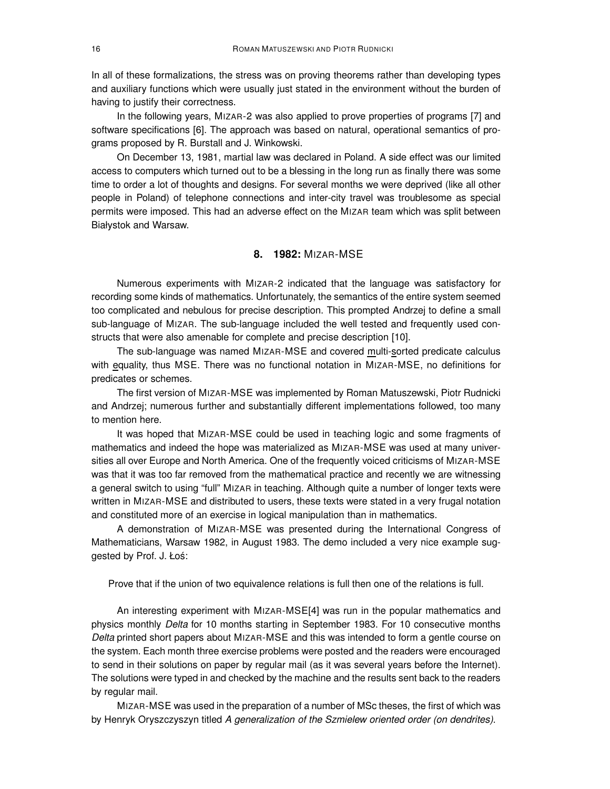In all of these formalizations, the stress was on proving theorems rather than developing types and auxiliary functions which were usually just stated in the environment without the burden of having to justify their correctness.

In the following years, MIZAR-2 was also applied to prove properties of programs [7] and software specifications [6]. The approach was based on natural, operational semantics of programs proposed by R. Burstall and J. Winkowski.

On December 13, 1981, martial law was declared in Poland. A side effect was our limited access to computers which turned out to be a blessing in the long run as finally there was some time to order a lot of thoughts and designs. For several months we were deprived (like all other people in Poland) of telephone connections and inter-city travel was troublesome as special permits were imposed. This had an adverse effect on the MIZAR team which was split between Białystok and Warsaw.

# **8. 1982:** MIZAR-MSE

Numerous experiments with MIZAR-2 indicated that the language was satisfactory for recording some kinds of mathematics. Unfortunately, the semantics of the entire system seemed too complicated and nebulous for precise description. This prompted Andrzej to define a small sub-language of MIZAR. The sub-language included the well tested and frequently used constructs that were also amenable for complete and precise description [10].

The sub-language was named MIZAR-MSE and covered multi-sorted predicate calculus with equality, thus MSE. There was no functional notation in MIZAR-MSE, no definitions for predicates or schemes.

The first version of MIZAR-MSE was implemented by Roman Matuszewski, Piotr Rudnicki and Andrzej; numerous further and substantially different implementations followed, too many to mention here.

It was hoped that MIZAR-MSE could be used in teaching logic and some fragments of mathematics and indeed the hope was materialized as MIZAR-MSE was used at many universities all over Europe and North America. One of the frequently voiced criticisms of MIZAR-MSE was that it was too far removed from the mathematical practice and recently we are witnessing a general switch to using "full" MIZAR in teaching. Although quite a number of longer texts were written in MIZAR-MSE and distributed to users, these texts were stated in a very frugal notation and constituted more of an exercise in logical manipulation than in mathematics.

A demonstration of MIZAR-MSE was presented during the International Congress of Mathematicians, Warsaw 1982, in August 1983. The demo included a very nice example suggested by Prof. J. Łoś:

Prove that if the union of two equivalence relations is full then one of the relations is full.

An interesting experiment with MIZAR-MSE[4] was run in the popular mathematics and physics monthly Delta for 10 months starting in September 1983. For 10 consecutive months Delta printed short papers about MIZAR-MSE and this was intended to form a gentle course on the system. Each month three exercise problems were posted and the readers were encouraged to send in their solutions on paper by regular mail (as it was several years before the Internet). The solutions were typed in and checked by the machine and the results sent back to the readers by regular mail.

MIZAR-MSE was used in the preparation of a number of MSc theses, the first of which was by Henryk Oryszczyszyn titled A generalization of the Szmielew oriented order (on dendrites).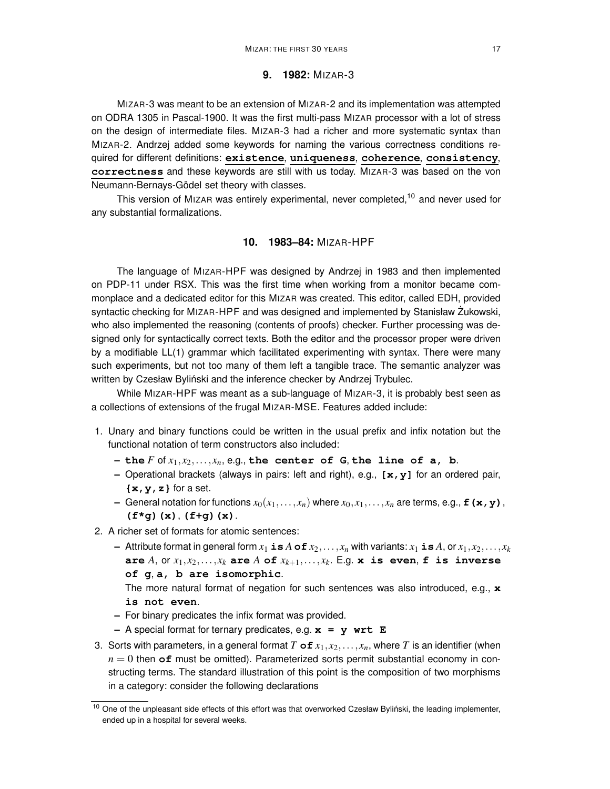### **9. 1982:** MIZAR-3

MIZAR-3 was meant to be an extension of MIZAR-2 and its implementation was attempted on ODRA 1305 in Pascal-1900. It was the first multi-pass MIZAR processor with a lot of stress on the design of intermediate files. MIZAR-3 had a richer and more systematic syntax than MIZAR-2. Andrzej added some keywords for naming the various correctness conditions required for different definitions: **existence**, **uniqueness**, **coherence**, **consistency**, **correctness** and these keywords are still with us today. MIZAR-3 was based on the von Neumann-Bernays-Gödel set theory with classes.

This version of MIZAR was entirely experimental, never completed,<sup>10</sup> and never used for any substantial formalizations.

### **10. 1983–84:** MIZAR-HPF

The language of MIZAR-HPF was designed by Andrzej in 1983 and then implemented on PDP-11 under RSX. This was the first time when working from a monitor became commonplace and a dedicated editor for this MIZAR was created. This editor, called EDH, provided syntactic checking for MIZAR-HPF and was designed and implemented by Stanisław Żukowski, who also implemented the reasoning (contents of proofs) checker. Further processing was designed only for syntactically correct texts. Both the editor and the processor proper were driven by a modifiable LL(1) grammar which facilitated experimenting with syntax. There were many such experiments, but not too many of them left a tangible trace. The semantic analyzer was written by Czesław Byliński and the inference checker by Andrzej Trybulec.

While MIZAR-HPF was meant as a sub-language of MIZAR-3, it is probably best seen as a collections of extensions of the frugal MIZAR-MSE. Features added include:

- 1. Unary and binary functions could be written in the usual prefix and infix notation but the functional notation of term constructors also included:
	- $-$  **the**  $F$  of  $x_1, x_2, \ldots, x_n$ , e.g., the center of G, the line of a, b.
	- **–** Operational brackets (always in pairs: left and right), e.g., **[x,y]** for an ordered pair, **{x,y,z}** for a set.
	- $-$  General notation for functions  $x_0(x_1,...,x_n)$  where  $x_0,x_1,...,x_n$  are terms, e.g.,  $\mathbf{f}(x,y)$ , **(f\*g)(x)**, **(f+g)(x)**.
- 2. A richer set of formats for atomic sentences:
	- $-$  Attribute format in general form  $x_1$  **is**  $A$  **of**  $x_2, \ldots, x_n$  with variants:  $x_1$  **is**  $A$ , or  $x_1, x_2, \ldots, x_k$ **are** *A*, or  $x_1, x_2, \ldots, x_k$  are *A* of  $x_{k+1}, \ldots, x_k$ . E.g. **x** is even, **f** is inverse **of g**, **a, b are isomorphic**.

The more natural format of negation for such sentences was also introduced, e.g., **x is not even**.

- **–** For binary predicates the infix format was provided.
- **–** A special format for ternary predicates, e.g. **x = y wrt E**
- 3. Sorts with parameters, in a general format *T* of  $x_1, x_2, \ldots, x_n$ , where *T* is an identifier (when  $n = 0$  then  $\sigma$ **f** must be omitted). Parameterized sorts permit substantial economy in constructing terms. The standard illustration of this point is the composition of two morphisms in a category: consider the following declarations

 $10$  One of the unpleasant side effects of this effort was that overworked Czesław Byliński, the leading implementer, ended up in a hospital for several weeks.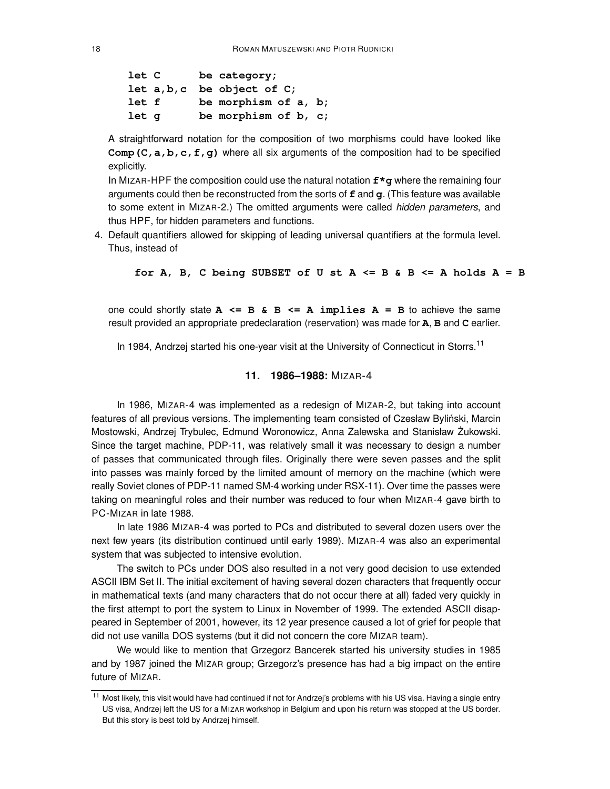```
let C be category;
let a,b,c be object of C;
let f be morphism of a, b;
let g be morphism of b, c;
```
A straightforward notation for the composition of two morphisms could have looked like **Comp(C,a,b,c,f,g)** where all six arguments of the composition had to be specified explicitly.

In MIZAR-HPF the composition could use the natural notation **f\*g** where the remaining four arguments could then be reconstructed from the sorts of **f** and **g**. (This feature was available to some extent in MIZAR-2.) The omitted arguments were called hidden parameters, and thus HPF, for hidden parameters and functions.

4. Default quantifiers allowed for skipping of leading universal quantifiers at the formula level. Thus, instead of

**for A, B, C being SUBSET of U st A <= B & B <= A holds A = B**

one could shortly state  $A \leq B \& B \leq A \implies$  **A**  $A \neq B \neq B$  to achieve the same result provided an appropriate predeclaration (reservation) was made for **A**, **B** and **C** earlier.

In 1984, Andrzej started his one-year visit at the University of Connecticut in Storrs.<sup>11</sup>

### **11. 1986–1988:** MIZAR-4

In 1986, MIZAR-4 was implemented as a redesign of MIZAR-2, but taking into account features of all previous versions. The implementing team consisted of Czesław Byliński, Marcin Mostowski, Andrzej Trybulec, Edmund Woronowicz, Anna Zalewska and Stanisław Żukowski. Since the target machine, PDP-11, was relatively small it was necessary to design a number of passes that communicated through files. Originally there were seven passes and the split into passes was mainly forced by the limited amount of memory on the machine (which were really Soviet clones of PDP-11 named SM-4 working under RSX-11). Over time the passes were taking on meaningful roles and their number was reduced to four when MIZAR-4 gave birth to PC-MIZAR in late 1988.

In late 1986 MIZAR-4 was ported to PCs and distributed to several dozen users over the next few years (its distribution continued until early 1989). MIZAR-4 was also an experimental system that was subjected to intensive evolution.

The switch to PCs under DOS also resulted in a not very good decision to use extended ASCII IBM Set II. The initial excitement of having several dozen characters that frequently occur in mathematical texts (and many characters that do not occur there at all) faded very quickly in the first attempt to port the system to Linux in November of 1999. The extended ASCII disappeared in September of 2001, however, its 12 year presence caused a lot of grief for people that did not use vanilla DOS systems (but it did not concern the core MIZAR team).

We would like to mention that Grzegorz Bancerek started his university studies in 1985 and by 1987 joined the MIZAR group; Grzegorz's presence has had a big impact on the entire future of MIZAR.

<sup>&</sup>lt;sup>11</sup> Most likely, this visit would have had continued if not for Andrzei's problems with his US visa. Having a single entry US visa, Andrzej left the US for a MIZAR workshop in Belgium and upon his return was stopped at the US border. But this story is best told by Andrzej himself.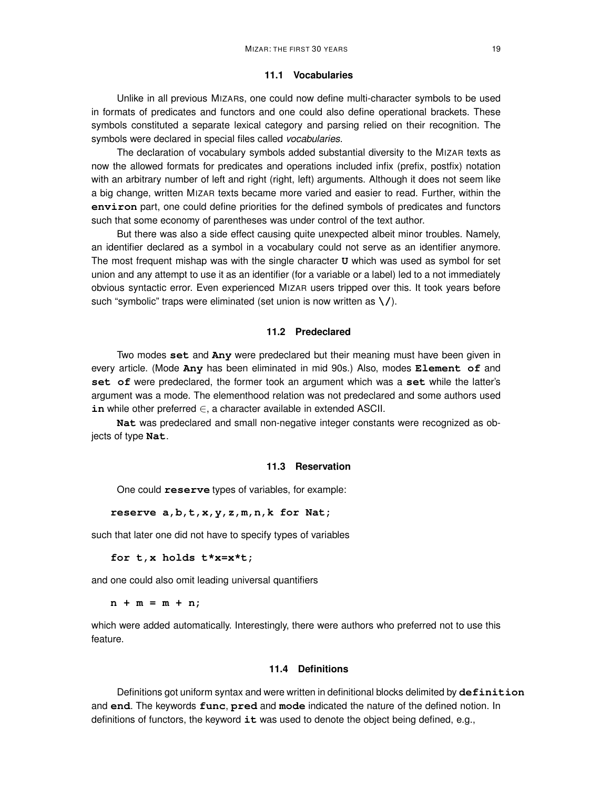#### **11.1 Vocabularies**

Unlike in all previous MIZARs, one could now define multi-character symbols to be used in formats of predicates and functors and one could also define operational brackets. These symbols constituted a separate lexical category and parsing relied on their recognition. The symbols were declared in special files called *vocabularies*.

The declaration of vocabulary symbols added substantial diversity to the MIZAR texts as now the allowed formats for predicates and operations included infix (prefix, postfix) notation with an arbitrary number of left and right (right, left) arguments. Although it does not seem like a big change, written MIZAR texts became more varied and easier to read. Further, within the **environ** part, one could define priorities for the defined symbols of predicates and functors such that some economy of parentheses was under control of the text author.

But there was also a side effect causing quite unexpected albeit minor troubles. Namely, an identifier declared as a symbol in a vocabulary could not serve as an identifier anymore. The most frequent mishap was with the single character **U** which was used as symbol for set union and any attempt to use it as an identifier (for a variable or a label) led to a not immediately obvious syntactic error. Even experienced MIZAR users tripped over this. It took years before such "symbolic" traps were eliminated (set union is now written as **\/**).

### **11.2 Predeclared**

Two modes **set** and **Any** were predeclared but their meaning must have been given in every article. (Mode **Any** has been eliminated in mid 90s.) Also, modes **Element of** and **set of** were predeclared, the former took an argument which was a **set** while the latter's argument was a mode. The elementhood relation was not predeclared and some authors used **in** while other preferred ∈, <sup>a</sup> character available in extended ASCII.

**Nat** was predeclared and small non-negative integer constants were recognized as objects of type **Nat**.

### **11.3 Reservation**

One could **reserve** types of variables, for example:

#### **reserve a,b,t,x,y,z,m,n,k for Nat;**

such that later one did not have to specify types of variables

**for t,x holds t\*x=x\*t;**

and one could also omit leading universal quantifiers

 $n + m = m + n;$ 

which were added automatically. Interestingly, there were authors who preferred not to use this feature.

### **11.4 Definitions**

Definitions got uniform syntax and were written in definitional blocks delimited by **definition** and **end**. The keywords **func**, **pred** and **mode** indicated the nature of the defined notion. In definitions of functors, the keyword **it** was used to denote the object being defined, e.g.,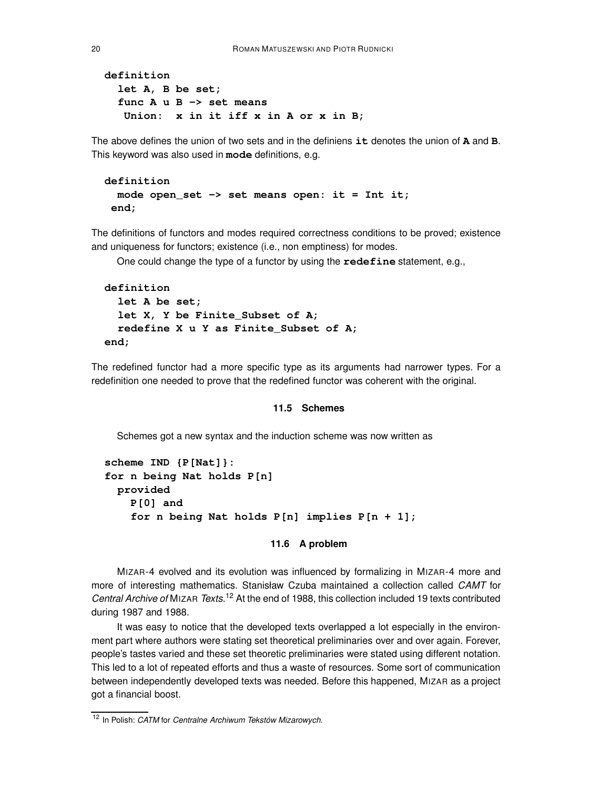```
definition
  let A, B be set;
  func A u B -> set means
   Union: x in it iff x in A or x in B;
```
The above defines the union of two sets and in the definiens **it** denotes the union of **A** and **B**. This keyword was also used in **mode** definitions, e.g.

```
definition
  mode open_set -> set means open: it = Int it;
end;
```
The definitions of functors and modes required correctness conditions to be proved; existence and uniqueness for functors; existence (i.e., non emptiness) for modes.

One could change the type of a functor by using the **redefine** statement, e.g.,

```
definition
  let A be set;
  let X, Y be Finite_Subset of A;
  redefine X u Y as Finite_Subset of A;
end;
```
The redefined functor had a more specific type as its arguments had narrower types. For a redefinition one needed to prove that the redefined functor was coherent with the original.

#### **11.5 Schemes**

Schemes got a new syntax and the induction scheme was now written as

```
scheme IND {P[Nat]}:
for n being Nat holds P[n]
 provided
    P[0] and
    for n being Nat holds P[n] implies P[n + 1];
```
#### **11.6 A problem**

MIZAR-4 evolved and its evolution was influenced by formalizing in MIZAR-4 more and more of interesting mathematics. Stanisław Czuba maintained a collection called CAMT for Central Archive of MIZAR Texts.<sup>12</sup> At the end of 1988, this collection included 19 texts contributed during 1987 and 1988.

It was easy to notice that the developed texts overlapped a lot especially in the environment part where authors were stating set theoretical preliminaries over and over again. Forever, people's tastes varied and these set theoretic preliminaries were stated using different notation. This led to a lot of repeated efforts and thus a waste of resources. Some sort of communication between independently developed texts was needed. Before this happened, MIZAR as a project got a financial boost.

<sup>&</sup>lt;sup>12</sup> In Polish: CATM for Centralne Archiwum Tekstów Mizarowych.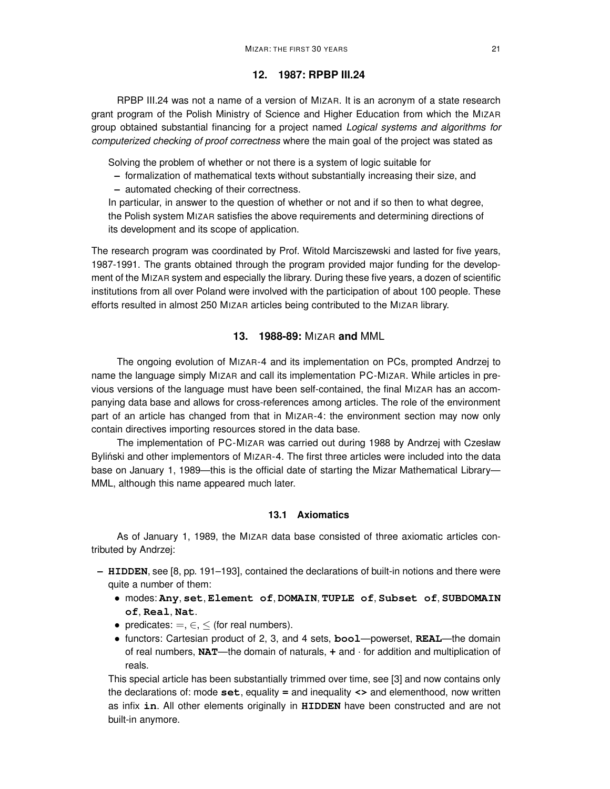### **12. 1987: RPBP III.24**

RPBP III.24 was not a name of a version of MIZAR. It is an acronym of a state research grant program of the Polish Ministry of Science and Higher Education from which the MIZAR group obtained substantial financing for a project named Logical systems and algorithms for computerized checking of proof correctness where the main goal of the project was stated as

Solving the problem of whether or not there is a system of logic suitable for

- **–** formalization of mathematical texts without substantially increasing their size, and
- **–** automated checking of their correctness.

In particular, in answer to the question of whether or not and if so then to what degree, the Polish system MIZAR satisfies the above requirements and determining directions of its development and its scope of application.

The research program was coordinated by Prof. Witold Marciszewski and lasted for five years, 1987-1991. The grants obtained through the program provided major funding for the development of the MIZAR system and especially the library. During these five years, a dozen of scientific institutions from all over Poland were involved with the participation of about 100 people. These efforts resulted in almost 250 MIZAR articles being contributed to the MIZAR library.

### **13. 1988-89:** MIZAR **and** MML

The ongoing evolution of MIZAR-4 and its implementation on PCs, prompted Andrzej to name the language simply MIZAR and call its implementation PC-MIZAR. While articles in previous versions of the language must have been self-contained, the final MIZAR has an accompanying data base and allows for cross-references among articles. The role of the environment part of an article has changed from that in MIZAR-4: the environment section may now only contain directives importing resources stored in the data base.

The implementation of PC-MIZAR was carried out during 1988 by Andrzej with Czesław Byliński and other implementors of MIZAR-4. The first three articles were included into the data base on January 1, 1989—this is the official date of starting the Mizar Mathematical Library— MML, although this name appeared much later.

### **13.1 Axiomatics**

As of January 1, 1989, the MIZAR data base consisted of three axiomatic articles contributed by Andrzej:

- **– HIDDEN**, see [8, pp. 191–193], contained the declarations of built-in notions and there were quite a number of them:
	- modes: **Any**, **set**, **Element of**, **DOMAIN**, **TUPLE of**, **Subset of**, **SUBDOMAIN of**, **Real**, **Nat**.
	- predicates:  $=, \in, \le$  (for real numbers).
	- functors: Cartesian product of 2, 3, and <sup>4</sup> sets, **bool**—powerset, **REAL**—the domain of real numbers, **NAT**—the domain of naturals, **+** and · for addition and multiplication of reals.

This special article has been substantially trimmed over time, see [3] and now contains only the declarations of: mode **set**, equality **=** and inequality **<>** and elementhood, now written as infix **in**. All other elements originally in **HIDDEN** have been constructed and are not built-in anymore.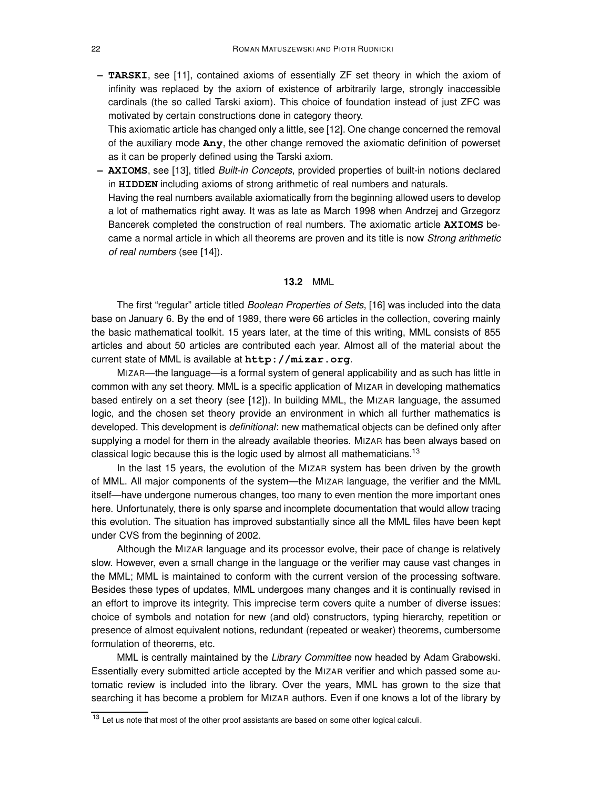**– TARSKI**, see [11], contained axioms of essentially ZF set theory in which the axiom of infinity was replaced by the axiom of existence of arbitrarily large, strongly inaccessible cardinals (the so called Tarski axiom). This choice of foundation instead of just ZFC was motivated by certain constructions done in category theory.

This axiomatic article has changed only a little, see [12]. One change concerned the removal of the auxiliary mode **Any**, the other change removed the axiomatic definition of powerset as it can be properly defined using the Tarski axiom.

**– AXIOMS**, see [13], titled Built-in Concepts, provided properties of built-in notions declared in **HIDDEN** including axioms of strong arithmetic of real numbers and naturals. Having the real numbers available axiomatically from the beginning allowed users to develop a lot of mathematics right away. It was as late as March 1998 when Andrzej and Grzegorz Bancerek completed the construction of real numbers. The axiomatic article **AXIOMS** became a normal article in which all theorems are proven and its title is now Strong arithmetic

of real numbers (see [14]).

### **13.2** MML

The first "regular" article titled *Boolean Properties of Sets*, [16] was included into the data base on January 6. By the end of 1989, there were 66 articles in the collection, covering mainly the basic mathematical toolkit. 15 years later, at the time of this writing, MML consists of 855 articles and about 50 articles are contributed each year. Almost all of the material about the current state of MML is available at **http://mizar.org**.

MIZAR—the language—is a formal system of general applicability and as such has little in common with any set theory. MML is a specific application of MIZAR in developing mathematics based entirely on a set theory (see [12]). In building MML, the MIZAR language, the assumed logic, and the chosen set theory provide an environment in which all further mathematics is developed. This development is *definitional*: new mathematical objects can be defined only after supplying a model for them in the already available theories. MIZAR has been always based on classical logic because this is the logic used by almost all mathematicians.<sup>13</sup>

In the last 15 years, the evolution of the MIZAR system has been driven by the growth of MML. All major components of the system—the MIZAR language, the verifier and the MML itself—have undergone numerous changes, too many to even mention the more important ones here. Unfortunately, there is only sparse and incomplete documentation that would allow tracing this evolution. The situation has improved substantially since all the MML files have been kept under CVS from the beginning of 2002.

Although the MIZAR language and its processor evolve, their pace of change is relatively slow. However, even a small change in the language or the verifier may cause vast changes in the MML; MML is maintained to conform with the current version of the processing software. Besides these types of updates, MML undergoes many changes and it is continually revised in an effort to improve its integrity. This imprecise term covers quite a number of diverse issues: choice of symbols and notation for new (and old) constructors, typing hierarchy, repetition or presence of almost equivalent notions, redundant (repeated or weaker) theorems, cumbersome formulation of theorems, etc.

MML is centrally maintained by the Library Committee now headed by Adam Grabowski. Essentially every submitted article accepted by the MIZAR verifier and which passed some automatic review is included into the library. Over the years, MML has grown to the size that searching it has become a problem for MIZAR authors. Even if one knows a lot of the library by

<sup>&</sup>lt;sup>13</sup> Let us note that most of the other proof assistants are based on some other logical calculi.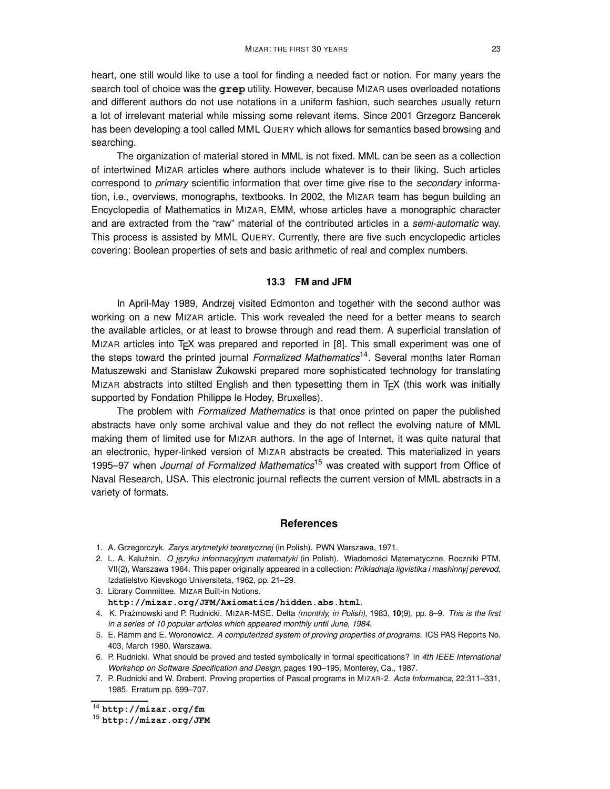heart, one still would like to use a tool for finding a needed fact or notion. For many years the search tool of choice was the **grep** utility. However, because MIZAR uses overloaded notations and different authors do not use notations in a uniform fashion, such searches usually return a lot of irrelevant material while missing some relevant items. Since 2001 Grzegorz Bancerek has been developing a tool called MML QUERY which allows for semantics based browsing and searching.

The organization of material stored in MML is not fixed. MML can be seen as a collection of intertwined MIZAR articles where authors include whatever is to their liking. Such articles correspond to *primary* scientific information that over time give rise to the *secondary* information, i.e., overviews, monographs, textbooks. In 2002, the MIZAR team has begun building an Encyclopedia of Mathematics in MIZAR, EMM, whose articles have a monographic character and are extracted from the "raw" material of the contributed articles in a semi-automatic way. This process is assisted by MML QUERY. Currently, there are five such encyclopedic articles covering: Boolean properties of sets and basic arithmetic of real and complex numbers.

### **13.3 FM and JFM**

In April-May 1989, Andrzej visited Edmonton and together with the second author was working on a new MIZAR article. This work revealed the need for a better means to search the available articles, or at least to browse through and read them. A superficial translation of MIZAR articles into  $T_F X$  was prepared and reported in [8]. This small experiment was one of the steps toward the printed journal Formalized Mathematics<sup>14</sup>. Several months later Roman Matuszewski and Stanisław Żukowski prepared more sophisticated technology for translating MIZAR abstracts into stilted English and then typesetting them in TEX (this work was initially supported by Fondation Philippe le Hodey, Bruxelles).

The problem with Formalized Mathematics is that once printed on paper the published abstracts have only some archival value and they do not reflect the evolving nature of MML making them of limited use for MIZAR authors. In the age of Internet, it was quite natural that an electronic, hyper-linked version of MIZAR abstracts be created. This materialized in years 1995–97 when Journal of Formalized Mathematics<sup>15</sup> was created with support from Office of Naval Research, USA. This electronic journal reflects the current version of MML abstracts in a variety of formats.

#### **References**

- 1. A. Grzegorczyk. Zarys arytmetyki teoretycznej (in Polish). PWN Warszawa, 1971.
- 2. L. A. Kalużnin. O języku informacyjnym matematyki (in Polish). Wiadomości Matematyczne, Roczniki PTM, VII(2), Warszawa 1964. This paper originally appeared in a collection: Prikladnaja ligvistika i mashinnyj perevod, Izdatielstvo Kievskogo Universiteta, 1962, pp. 21–29.
- 3. Library Committee. MIZAR Built-in Notions. **http://mizar.org/JFM/Axiomatics/hidden.abs.html**.
- 4. K. Prażmowski and P. Rudnicki. MIZAR-MSE. Delta (monthly, in Polish), 1983, 10(9), pp. 8–9. This is the first in a series of 10 popular articles which appeared monthly until June, 1984.
- 5. E. Ramm and E. Woronowicz. A computerized system of proving properties of programs. ICS PAS Reports No. 403, March 1980, Warszawa.
- 6. P. Rudnicki. What should be proved and tested symbolically in formal specifications? In 4th IEEE International Workshop on Software Specification and Design, pages 190–195, Monterey, Ca., 1987.
- 7. P. Rudnicki and W. Drabent. Proving properties of Pascal programs in MIZAR-2. Acta Informatica, 22:311–331, 1985. Erratum pp. 699–707.

<sup>14</sup> **http://mizar.org/fm**

<sup>15</sup> **http://mizar.org/JFM**